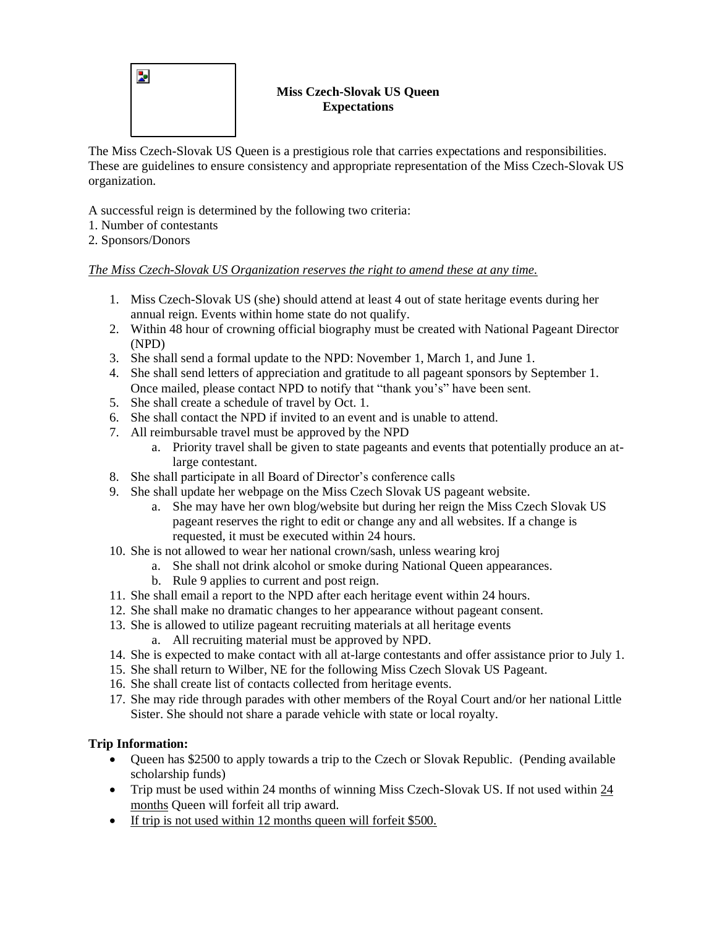

### **Miss Czech-Slovak US Queen Expectations**

The Miss Czech-Slovak US Queen is a prestigious role that carries expectations and responsibilities. These are guidelines to ensure consistency and appropriate representation of the Miss Czech-Slovak US organization.

A successful reign is determined by the following two criteria:

- 1. Number of contestants
- 2. Sponsors/Donors

## *The Miss Czech-Slovak US Organization reserves the right to amend these at any time.*

- 1. Miss Czech-Slovak US (she) should attend at least 4 out of state heritage events during her annual reign. Events within home state do not qualify.
- 2. Within 48 hour of crowning official biography must be created with National Pageant Director (NPD)
- 3. She shall send a formal update to the NPD: November 1, March 1, and June 1.
- 4. She shall send letters of appreciation and gratitude to all pageant sponsors by September 1. Once mailed, please contact NPD to notify that "thank you's" have been sent.
- 5. She shall create a schedule of travel by Oct. 1.
- 6. She shall contact the NPD if invited to an event and is unable to attend.
- 7. All reimbursable travel must be approved by the NPD
	- a. Priority travel shall be given to state pageants and events that potentially produce an atlarge contestant.
- 8. She shall participate in all Board of Director's conference calls
- 9. She shall update her webpage on the Miss Czech Slovak US pageant website.
	- a. She may have her own blog/website but during her reign the Miss Czech Slovak US pageant reserves the right to edit or change any and all websites. If a change is requested, it must be executed within 24 hours.
- 10. She is not allowed to wear her national crown/sash, unless wearing kroj
	- a. She shall not drink alcohol or smoke during National Queen appearances.
	- b. Rule 9 applies to current and post reign.
- 11. She shall email a report to the NPD after each heritage event within 24 hours.
- 12. She shall make no dramatic changes to her appearance without pageant consent.
- 13. She is allowed to utilize pageant recruiting materials at all heritage events
	- a. All recruiting material must be approved by NPD.
- 14. She is expected to make contact with all at-large contestants and offer assistance prior to July 1.
- 15. She shall return to Wilber, NE for the following Miss Czech Slovak US Pageant.
- 16. She shall create list of contacts collected from heritage events.
- 17. She may ride through parades with other members of the Royal Court and/or her national Little Sister. She should not share a parade vehicle with state or local royalty.

# **Trip Information:**

- Queen has \$2500 to apply towards a trip to the Czech or Slovak Republic. (Pending available scholarship funds)
- Trip must be used within 24 months of winning Miss Czech-Slovak US. If not used within 24 months Queen will forfeit all trip award.
- If trip is not used within 12 months queen will forfeit \$500.